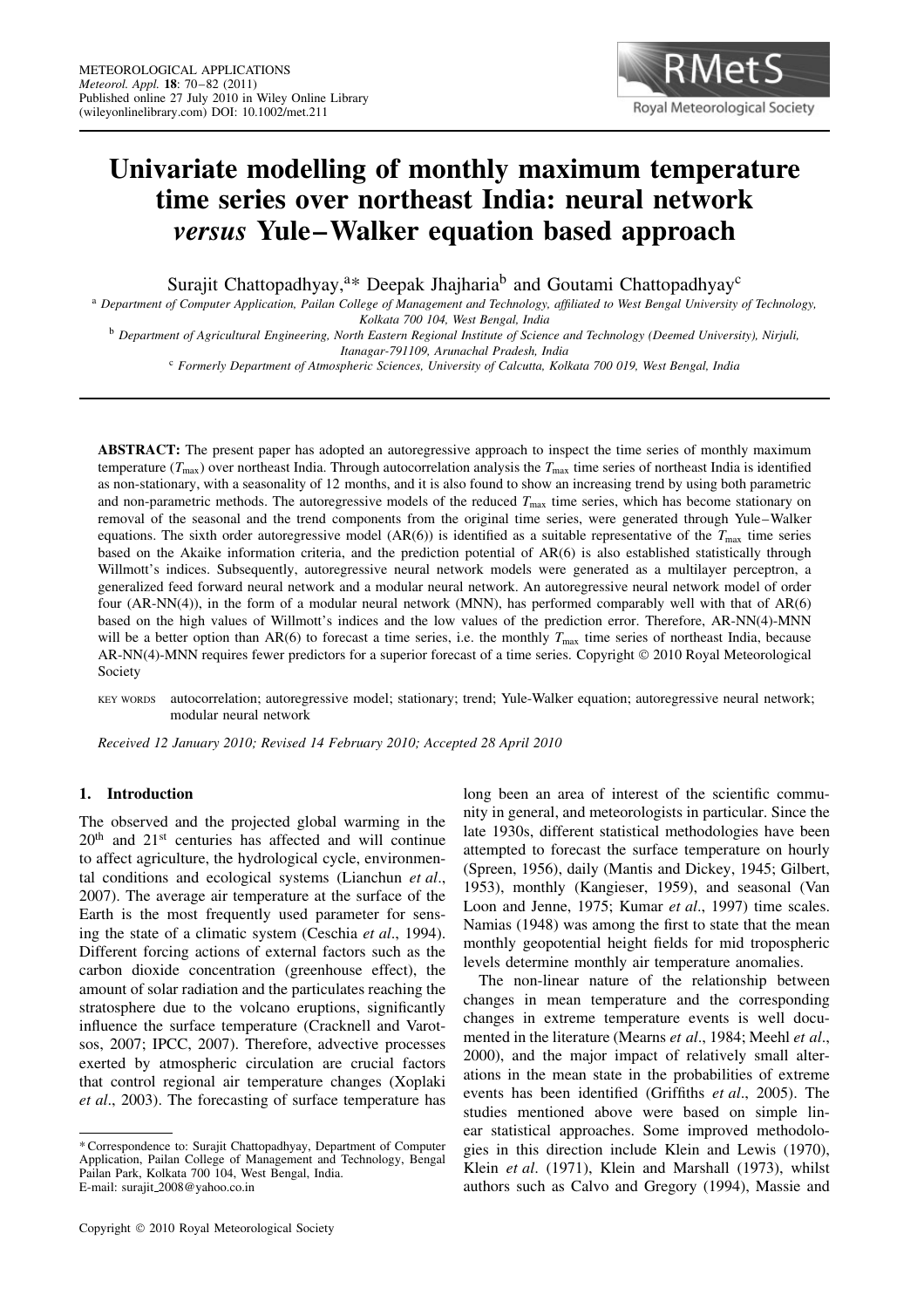

# **Univariate modelling of monthly maximum temperature time series over northeast India: neural network** *versus* **Yule–Walker equation based approach**

Surajit Chattopadhyay,<sup>a\*</sup> Deepak Jhajharia<sup>b</sup> and Goutami Chattopadhyay<sup>c</sup>

<sup>a</sup> *Department of Computer Application, Pailan College of Management and Technology, affiliated to West Bengal University of Technology, Kolkata 700 104, West Bengal, India*

<sup>b</sup> *Department of Agricultural Engineering, North Eastern Regional Institute of Science and Technology (Deemed University), Nirjuli, Itanagar-791109, Arunachal Pradesh, India*

<sup>c</sup> *Formerly Department of Atmospheric Sciences, University of Calcutta, Kolkata 700 019, West Bengal, India*

**ABSTRACT:** The present paper has adopted an autoregressive approach to inspect the time series of monthly maximum temperature ( $T_{\text{max}}$ ) over northeast India. Through autocorrelation analysis the  $T_{\text{max}}$  time series of northeast India is identified as non-stationary, with a seasonality of 12 months, and it is also found to show an increasing trend by using both parametric and non-parametric methods. The autoregressive models of the reduced  $T_{\text{max}}$  time series, which has become stationary on removal of the seasonal and the trend components from the original time series, were generated through Yule–Walker equations. The sixth order autoregressive model (AR(6)) is identified as a suitable representative of the  $T_{\text{max}}$  time series based on the Akaike information criteria, and the prediction potential of AR(6) is also established statistically through Willmott's indices. Subsequently, autoregressive neural network models were generated as a multilayer perceptron, a generalized feed forward neural network and a modular neural network. An autoregressive neural network model of order four (AR-NN(4)), in the form of a modular neural network (MNN), has performed comparably well with that of AR(6) based on the high values of Willmott's indices and the low values of the prediction error. Therefore, AR-NN(4)-MNN will be a better option than AR(6) to forecast a time series, i.e. the monthly  $T_{\text{max}}$  time series of northeast India, because AR-NN(4)-MNN requires fewer predictors for a superior forecast of a time series. Copyright © 2010 Royal Meteorological Society

KEY WORDS autocorrelation; autoregressive model; stationary; trend; Yule-Walker equation; autoregressive neural network; modular neural network

*Received 12 January 2010; Revised 14 February 2010; Accepted 28 April 2010*

# **1. Introduction**

The observed and the projected global warming in the 20th and 21st centuries has affected and will continue to affect agriculture, the hydrological cycle, environmental conditions and ecological systems (Lianchun *et al*., 2007). The average air temperature at the surface of the Earth is the most frequently used parameter for sensing the state of a climatic system (Ceschia *et al*., 1994). Different forcing actions of external factors such as the carbon dioxide concentration (greenhouse effect), the amount of solar radiation and the particulates reaching the stratosphere due to the volcano eruptions, significantly influence the surface temperature (Cracknell and Varotsos, 2007; IPCC, 2007). Therefore, advective processes exerted by atmospheric circulation are crucial factors that control regional air temperature changes (Xoplaki *et al*., 2003). The forecasting of surface temperature has long been an area of interest of the scientific community in general, and meteorologists in particular. Since the late 1930s, different statistical methodologies have been attempted to forecast the surface temperature on hourly (Spreen, 1956), daily (Mantis and Dickey, 1945; Gilbert, 1953), monthly (Kangieser, 1959), and seasonal (Van Loon and Jenne, 1975; Kumar et al., 1997) time scales. Namias (1948) was among the first to state that the mean monthly geopotential height fields for mid tropospheric levels determine monthly air temperature anomalies.

The non-linear nature of the relationship between changes in mean temperature and the corresponding changes in extreme temperature events is well documented in the literature (Mearns *et al*., 1984; Meehl *et al*., 2000), and the major impact of relatively small alterations in the mean state in the probabilities of extreme events has been identified (Griffiths *et al*., 2005). The studies mentioned above were based on simple linear statistical approaches. Some improved methodologies in this direction include Klein and Lewis (1970), Klein *et al*. (1971), Klein and Marshall (1973), whilst authors such as Calvo and Gregory (1994), Massie and

<sup>\*</sup> Correspondence to: Surajit Chattopadhyay, Department of Computer Application, Pailan College of Management and Technology, Bengal Pailan Park, Kolkata 700 104, West Bengal, India. E-mail: surajit 2008@yahoo.co.in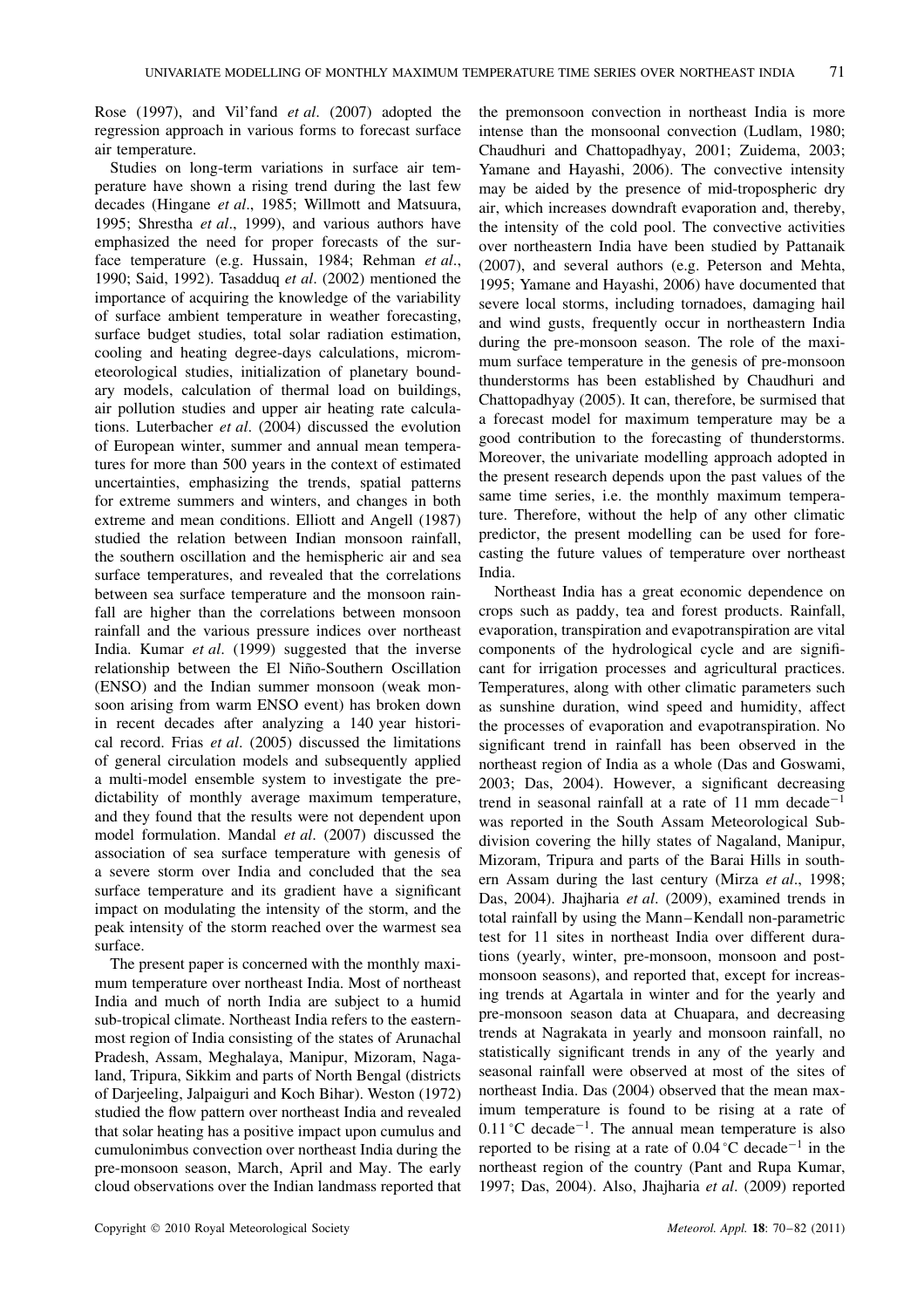Rose (1997), and Vil'fand *et al*. (2007) adopted the regression approach in various forms to forecast surface air temperature.

Studies on long-term variations in surface air temperature have shown a rising trend during the last few decades (Hingane *et al*., 1985; Willmott and Matsuura, 1995; Shrestha *et al*., 1999), and various authors have emphasized the need for proper forecasts of the surface temperature (e.g. Hussain, 1984; Rehman *et al*., 1990; Said, 1992). Tasadduq *et al*. (2002) mentioned the importance of acquiring the knowledge of the variability of surface ambient temperature in weather forecasting, surface budget studies, total solar radiation estimation, cooling and heating degree-days calculations, micrometeorological studies, initialization of planetary boundary models, calculation of thermal load on buildings, air pollution studies and upper air heating rate calculations. Luterbacher *et al*. (2004) discussed the evolution of European winter, summer and annual mean temperatures for more than 500 years in the context of estimated uncertainties, emphasizing the trends, spatial patterns for extreme summers and winters, and changes in both extreme and mean conditions. Elliott and Angell (1987) studied the relation between Indian monsoon rainfall, the southern oscillation and the hemispheric air and sea surface temperatures, and revealed that the correlations between sea surface temperature and the monsoon rainfall are higher than the correlations between monsoon rainfall and the various pressure indices over northeast India. Kumar *et al*. (1999) suggested that the inverse relationship between the El Niño-Southern Oscillation (ENSO) and the Indian summer monsoon (weak monsoon arising from warm ENSO event) has broken down in recent decades after analyzing a 140 year historical record. Frias *et al*. (2005) discussed the limitations of general circulation models and subsequently applied a multi-model ensemble system to investigate the predictability of monthly average maximum temperature, and they found that the results were not dependent upon model formulation. Mandal *et al*. (2007) discussed the association of sea surface temperature with genesis of a severe storm over India and concluded that the sea surface temperature and its gradient have a significant impact on modulating the intensity of the storm, and the peak intensity of the storm reached over the warmest sea surface.

The present paper is concerned with the monthly maximum temperature over northeast India. Most of northeast India and much of north India are subject to a humid sub-tropical climate. Northeast India refers to the easternmost region of India consisting of the states of Arunachal Pradesh, Assam, Meghalaya, Manipur, Mizoram, Nagaland, Tripura, Sikkim and parts of North Bengal (districts of Darjeeling, Jalpaiguri and Koch Bihar). Weston (1972) studied the flow pattern over northeast India and revealed that solar heating has a positive impact upon cumulus and cumulonimbus convection over northeast India during the pre-monsoon season, March, April and May. The early cloud observations over the Indian landmass reported that

the premonsoon convection in northeast India is more intense than the monsoonal convection (Ludlam, 1980; Chaudhuri and Chattopadhyay, 2001; Zuidema, 2003; Yamane and Hayashi, 2006). The convective intensity may be aided by the presence of mid-tropospheric dry air, which increases downdraft evaporation and, thereby, the intensity of the cold pool. The convective activities over northeastern India have been studied by Pattanaik (2007), and several authors (e.g. Peterson and Mehta, 1995; Yamane and Hayashi, 2006) have documented that severe local storms, including tornadoes, damaging hail and wind gusts, frequently occur in northeastern India during the pre-monsoon season. The role of the maximum surface temperature in the genesis of pre-monsoon thunderstorms has been established by Chaudhuri and Chattopadhyay (2005). It can, therefore, be surmised that a forecast model for maximum temperature may be a good contribution to the forecasting of thunderstorms. Moreover, the univariate modelling approach adopted in the present research depends upon the past values of the same time series, i.e. the monthly maximum temperature. Therefore, without the help of any other climatic predictor, the present modelling can be used for forecasting the future values of temperature over northeast India.

Northeast India has a great economic dependence on crops such as paddy, tea and forest products. Rainfall, evaporation, transpiration and evapotranspiration are vital components of the hydrological cycle and are significant for irrigation processes and agricultural practices. Temperatures, along with other climatic parameters such as sunshine duration, wind speed and humidity, affect the processes of evaporation and evapotranspiration. No significant trend in rainfall has been observed in the northeast region of India as a whole (Das and Goswami, 2003; Das, 2004). However, a significant decreasing trend in seasonal rainfall at a rate of 11 mm decade<sup>-1</sup> was reported in the South Assam Meteorological Subdivision covering the hilly states of Nagaland, Manipur, Mizoram, Tripura and parts of the Barai Hills in southern Assam during the last century (Mirza *et al*., 1998; Das, 2004). Jhajharia *et al*. (2009), examined trends in total rainfall by using the Mann–Kendall non-parametric test for 11 sites in northeast India over different durations (yearly, winter, pre-monsoon, monsoon and postmonsoon seasons), and reported that, except for increasing trends at Agartala in winter and for the yearly and pre-monsoon season data at Chuapara, and decreasing trends at Nagrakata in yearly and monsoon rainfall, no statistically significant trends in any of the yearly and seasonal rainfall were observed at most of the sites of northeast India. Das (2004) observed that the mean maximum temperature is found to be rising at a rate of 0.11 °C decade<sup>-1</sup>. The annual mean temperature is also reported to be rising at a rate of 0.04 °C decade−<sup>1</sup> in the northeast region of the country (Pant and Rupa Kumar, 1997; Das, 2004). Also, Jhajharia *et al*. (2009) reported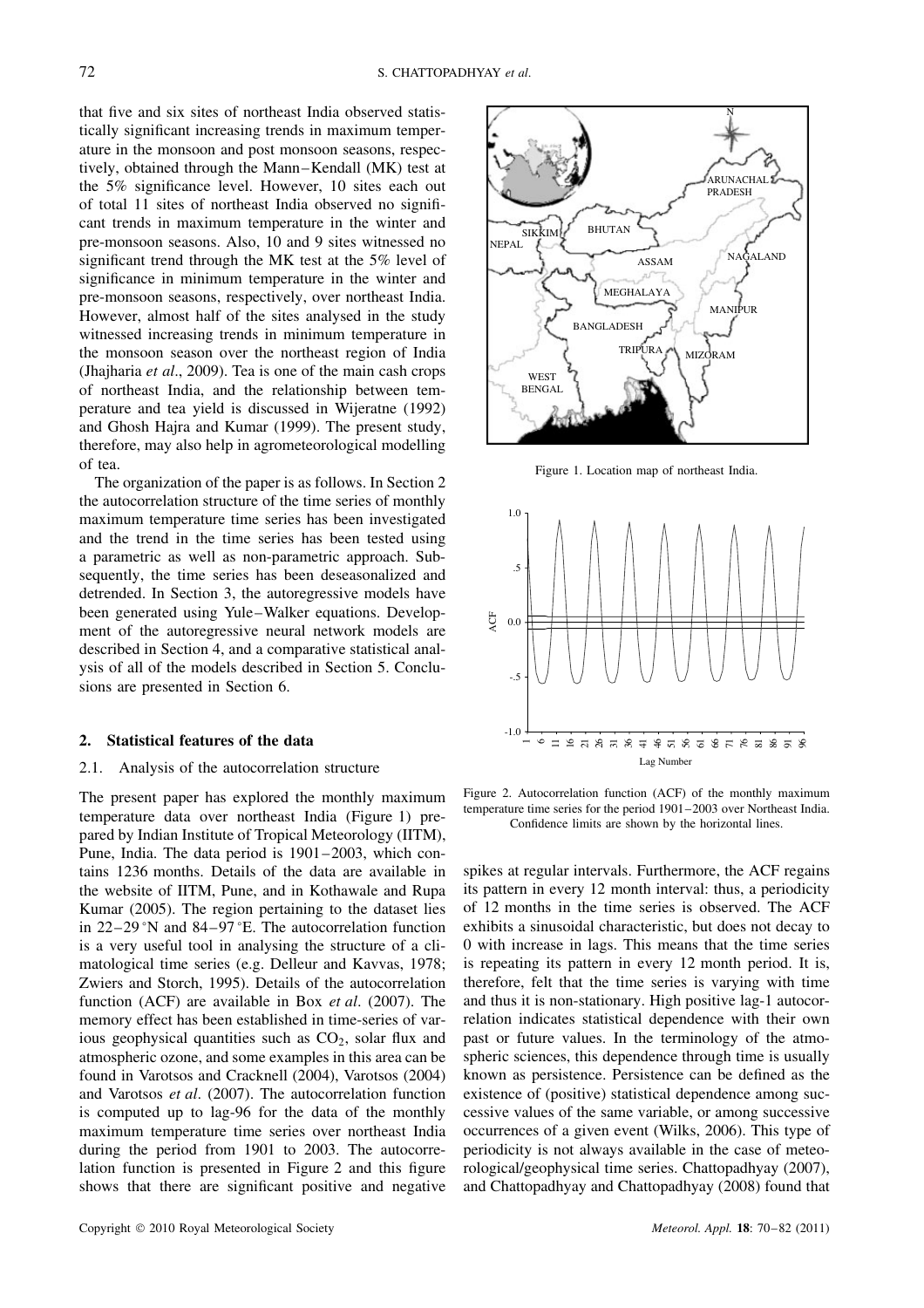that five and six sites of northeast India observed statistically significant increasing trends in maximum temperature in the monsoon and post monsoon seasons, respectively, obtained through the Mann–Kendall (MK) test at the 5% significance level. However, 10 sites each out of total 11 sites of northeast India observed no significant trends in maximum temperature in the winter and pre-monsoon seasons. Also, 10 and 9 sites witnessed no significant trend through the MK test at the 5% level of significance in minimum temperature in the winter and pre-monsoon seasons, respectively, over northeast India. However, almost half of the sites analysed in the study witnessed increasing trends in minimum temperature in the monsoon season over the northeast region of India (Jhajharia *et al*., 2009). Tea is one of the main cash crops of northeast India, and the relationship between temperature and tea yield is discussed in Wijeratne (1992) and Ghosh Hajra and Kumar (1999). The present study, therefore, may also help in agrometeorological modelling of tea.

The organization of the paper is as follows. In Section 2 the autocorrelation structure of the time series of monthly maximum temperature time series has been investigated and the trend in the time series has been tested using a parametric as well as non-parametric approach. Subsequently, the time series has been deseasonalized and detrended. In Section 3, the autoregressive models have been generated using Yule–Walker equations. Development of the autoregressive neural network models are described in Section 4, and a comparative statistical analysis of all of the models described in Section 5. Conclusions are presented in Section 6.

# **2. Statistical features of the data**

### 2.1. Analysis of the autocorrelation structure

The present paper has explored the monthly maximum temperature data over northeast India (Figure 1) prepared by Indian Institute of Tropical Meteorology (IITM), Pune, India. The data period is 1901–2003, which contains 1236 months. Details of the data are available in the website of IITM, Pune, and in Kothawale and Rupa Kumar (2005). The region pertaining to the dataset lies in 22–29 °N and 84–97 °E. The autocorrelation function is a very useful tool in analysing the structure of a climatological time series (e.g. Delleur and Kavvas, 1978; Zwiers and Storch, 1995). Details of the autocorrelation function (ACF) are available in Box *et al*. (2007). The memory effect has been established in time-series of various geophysical quantities such as CO<sub>2</sub>, solar flux and atmospheric ozone, and some examples in this area can be found in Varotsos and Cracknell (2004), Varotsos (2004) and Varotsos *et al*. (2007). The autocorrelation function is computed up to lag-96 for the data of the monthly maximum temperature time series over northeast India during the period from 1901 to 2003. The autocorrelation function is presented in Figure 2 and this figure shows that there are significant positive and negative



Figure 1. Location map of northeast India.



Figure 2. Autocorrelation function (ACF) of the monthly maximum temperature time series for the period 1901–2003 over Northeast India. Confidence limits are shown by the horizontal lines.

spikes at regular intervals. Furthermore, the ACF regains its pattern in every 12 month interval: thus, a periodicity of 12 months in the time series is observed. The ACF exhibits a sinusoidal characteristic, but does not decay to 0 with increase in lags. This means that the time series is repeating its pattern in every 12 month period. It is, therefore, felt that the time series is varying with time and thus it is non-stationary. High positive lag-1 autocorrelation indicates statistical dependence with their own past or future values. In the terminology of the atmospheric sciences, this dependence through time is usually known as persistence. Persistence can be defined as the existence of (positive) statistical dependence among successive values of the same variable, or among successive occurrences of a given event (Wilks, 2006). This type of periodicity is not always available in the case of meteorological/geophysical time series. Chattopadhyay (2007), and Chattopadhyay and Chattopadhyay (2008) found that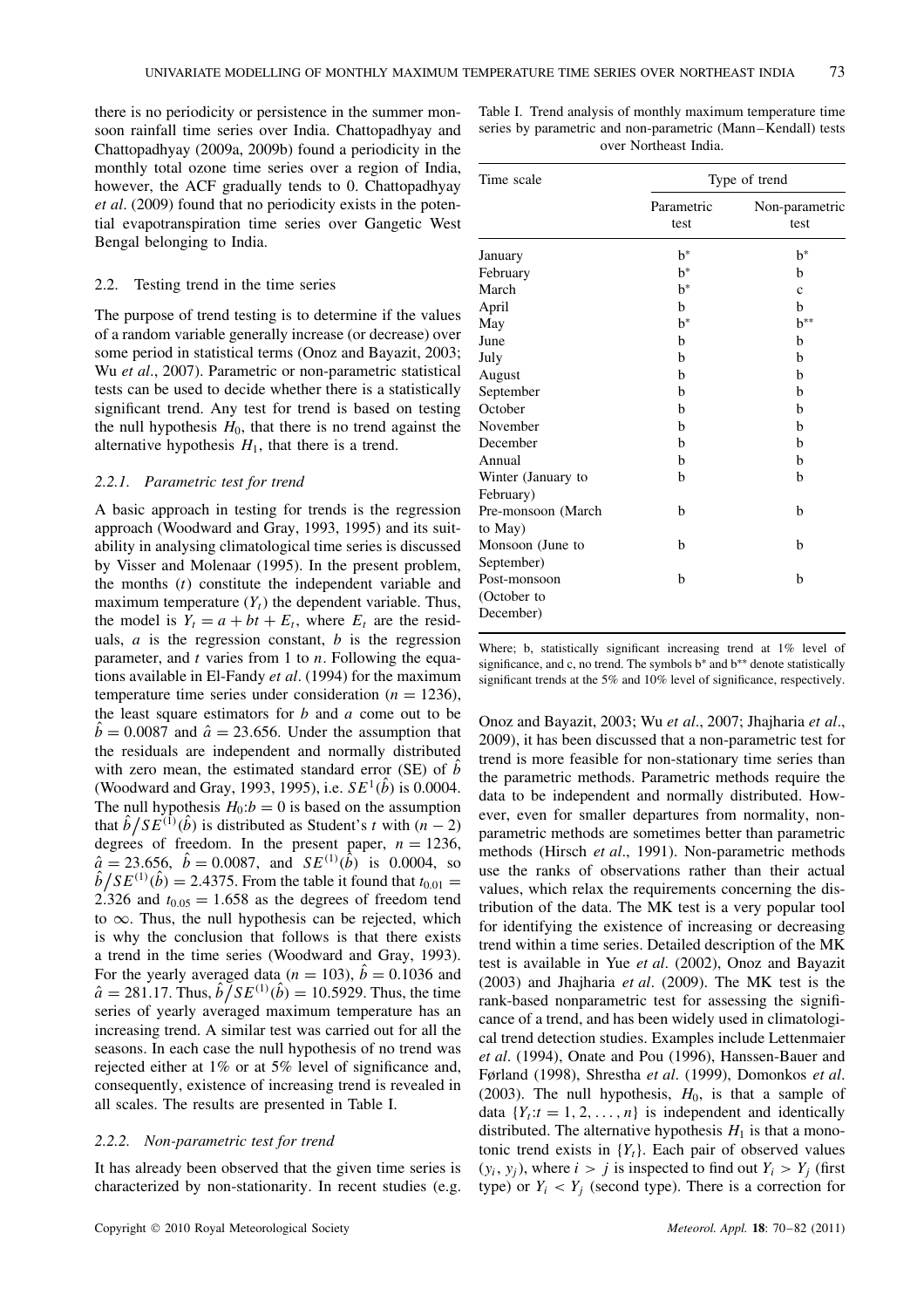there is no periodicity or persistence in the summer monsoon rainfall time series over India. Chattopadhyay and Chattopadhyay (2009a, 2009b) found a periodicity in the monthly total ozone time series over a region of India, however, the ACF gradually tends to 0. Chattopadhyay *et al*. (2009) found that no periodicity exists in the potential evapotranspiration time series over Gangetic West Bengal belonging to India.

## 2.2. Testing trend in the time series

The purpose of trend testing is to determine if the values of a random variable generally increase (or decrease) over some period in statistical terms (Onoz and Bayazit, 2003; Wu *et al*., 2007). Parametric or non-parametric statistical tests can be used to decide whether there is a statistically significant trend. Any test for trend is based on testing the null hypothesis  $H_0$ , that there is no trend against the alternative hypothesis  $H_1$ , that there is a trend.

## *2.2.1. Parametric test for trend*

A basic approach in testing for trends is the regression approach (Woodward and Gray, 1993, 1995) and its suitability in analysing climatological time series is discussed by Visser and Molenaar (1995). In the present problem, the months  $(t)$  constitute the independent variable and maximum temperature  $(Y_t)$  the dependent variable. Thus, the model is  $Y_t = a + bt + E_t$ , where  $E_t$  are the residuals,  $a$  is the regression constant,  $b$  is the regression parameter, and  $t$  varies from 1 to  $n$ . Following the equations available in El-Fandy *et al*. (1994) for the maximum temperature time series under consideration ( $n = 1236$ ), the least square estimators for  $b$  and  $a$  come out to be  $b = 0.0087$  and  $\hat{a} = 23.656$ . Under the assumption that the residuals are independent and normally distributed with zero mean, the estimated standard error (SE) of  $\ddot{b}$ (Woodward and Gray, 1993, 1995), i.e.  $SE^1(\hat{b})$  is 0.0004. The null hypothesis  $H_0$ : $b = 0$  is based on the assumption that  $\hat{b}/SE^{(1)}(\hat{b})$  is distributed as Student's t with  $(n-2)$ degrees of freedom. In the present paper,  $n = 1236$ ,  $\hat{a} = 23.656, \ \hat{b} = 0.0087, \text{ and } SE^{(1)}(\hat{b})$  is 0.0004, so  $\hat{b}/SE^{(1)}(\hat{b}) = 2.4375$ . From the table it found that  $t_{0.01} =$ 2.326 and  $t_{0.05} = 1.658$  as the degrees of freedom tend to  $\infty$ . Thus, the null hypothesis can be rejected, which is why the conclusion that follows is that there exists a trend in the time series (Woodward and Gray, 1993). For the yearly averaged data ( $n = 103$ ),  $b = 0.1036$  and  $\hat{a} = 281.17$ . Thus,  $\hat{b} \tilde{f} SE^{(1)}(\hat{b}) = 10.5929$ . Thus, the time series of yearly averaged maximum temperature has an increasing trend. A similar test was carried out for all the seasons. In each case the null hypothesis of no trend was rejected either at 1% or at 5% level of significance and, consequently, existence of increasing trend is revealed in all scales. The results are presented in Table I.

#### *2.2.2. Non-parametric test for trend*

It has already been observed that the given time series is characterized by non-stationarity. In recent studies (e.g.

Table I. Trend analysis of monthly maximum temperature time series by parametric and non-parametric (Mann–Kendall) tests over Northeast India.

| Time scale                               | Type of trend      |                        |  |  |
|------------------------------------------|--------------------|------------------------|--|--|
|                                          | Parametric<br>test | Non-parametric<br>test |  |  |
| January                                  | $h^*$              | $h^*$                  |  |  |
| February                                 | $h^*$              | h                      |  |  |
| March                                    | $h^*$              | $\mathbf{c}$           |  |  |
| April                                    | b                  | h                      |  |  |
| May                                      | $b^*$              | $h^{**}$               |  |  |
| June                                     | b                  | b                      |  |  |
| July                                     | h                  | b                      |  |  |
| August                                   | h                  | h                      |  |  |
| September                                | h                  | h                      |  |  |
| October                                  | h                  | h                      |  |  |
| November                                 | h                  | h                      |  |  |
| December                                 | h                  | h                      |  |  |
| Annual                                   | h                  | h                      |  |  |
| Winter (January to<br>February)          | b                  | b                      |  |  |
| Pre-monsoon (March<br>to May)            | b                  | b                      |  |  |
| Monsoon (June to<br>September)           | b                  | b                      |  |  |
| Post-monsoon<br>(October to<br>December) | h                  | h                      |  |  |

Where; b, statistically significant increasing trend at 1% level of significance, and c, no trend. The symbols b<sup>∗</sup> and b<sup>∗∗</sup> denote statistically significant trends at the 5% and 10% level of significance, respectively.

Onoz and Bayazit, 2003; Wu *et al*., 2007; Jhajharia *et al*., 2009), it has been discussed that a non-parametric test for trend is more feasible for non-stationary time series than the parametric methods. Parametric methods require the data to be independent and normally distributed. However, even for smaller departures from normality, nonparametric methods are sometimes better than parametric methods (Hirsch *et al*., 1991). Non-parametric methods use the ranks of observations rather than their actual values, which relax the requirements concerning the distribution of the data. The MK test is a very popular tool for identifying the existence of increasing or decreasing trend within a time series. Detailed description of the MK test is available in Yue *et al*. (2002), Onoz and Bayazit (2003) and Jhajharia *et al*. (2009). The MK test is the rank-based nonparametric test for assessing the significance of a trend, and has been widely used in climatological trend detection studies. Examples include Lettenmaier *et al*. (1994), Onate and Pou (1996), Hanssen-Bauer and Førland (1998), Shrestha *et al*. (1999), Domonkos *et al*. (2003). The null hypothesis,  $H_0$ , is that a sample of data  $\{Y_t : t = 1, 2, \ldots, n\}$  is independent and identically distributed. The alternative hypothesis  $H_1$  is that a monotonic trend exists in  ${Y_t}$ . Each pair of observed values  $(y_i, y_j)$ , where  $i > j$  is inspected to find out  $Y_i > Y_j$  (first type) or  $Y_i \le Y_j$  (second type). There is a correction for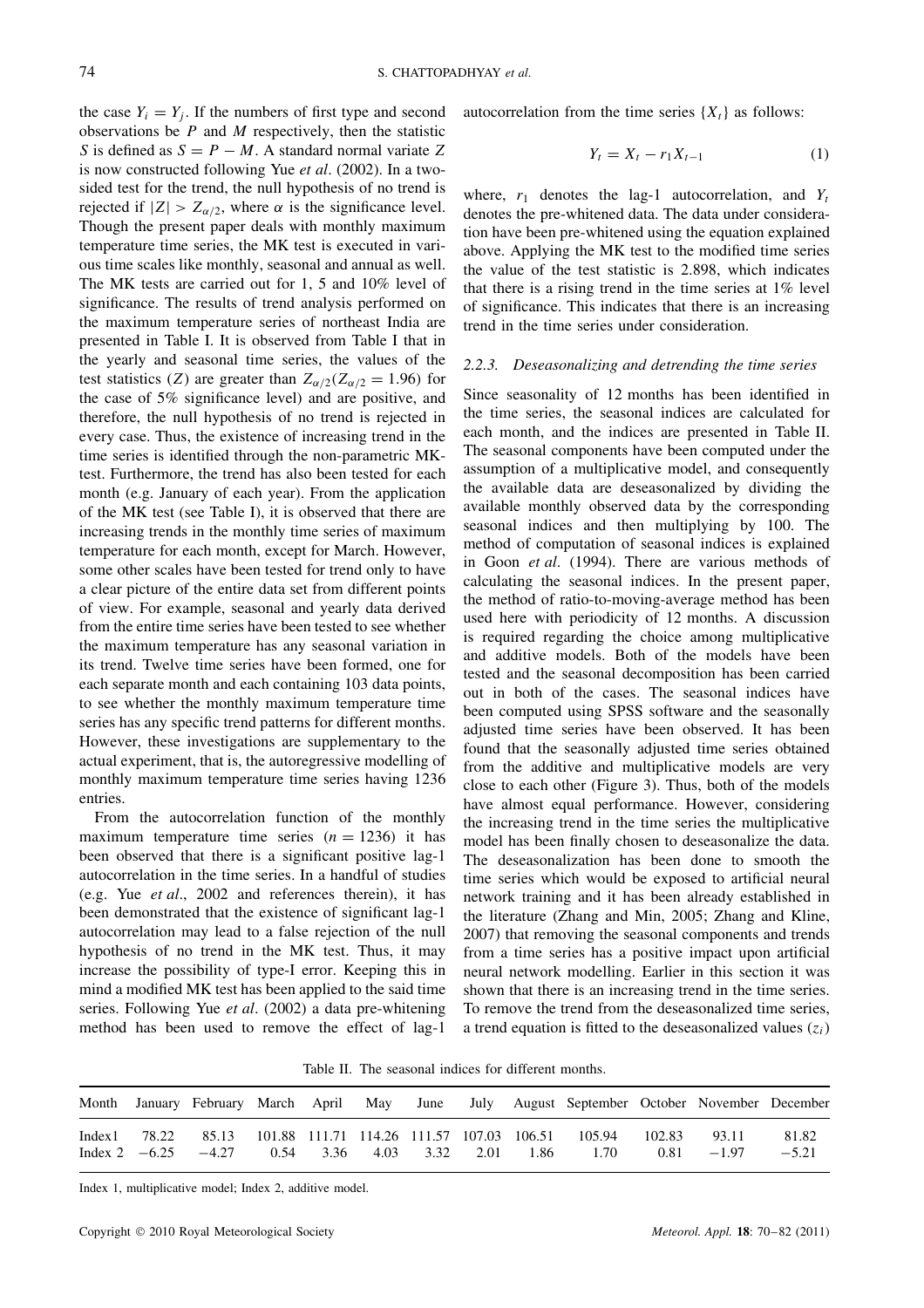the case  $Y_i = Y_j$ . If the numbers of first type and second observations be  $P$  and  $M$  respectively, then the statistic S is defined as  $S = P - M$ . A standard normal variate Z is now constructed following Yue *et al*. (2002). In a twosided test for the trend, the null hypothesis of no trend is rejected if  $|Z| > Z_{\alpha/2}$ , where  $\alpha$  is the significance level. Though the present paper deals with monthly maximum temperature time series, the MK test is executed in various time scales like monthly, seasonal and annual as well. The MK tests are carried out for 1, 5 and 10% level of significance. The results of trend analysis performed on the maximum temperature series of northeast India are presented in Table I. It is observed from Table I that in the yearly and seasonal time series, the values of the test statistics (Z) are greater than  $Z_{\alpha/2}(Z_{\alpha/2} = 1.96)$  for the case of 5% significance level) and are positive, and therefore, the null hypothesis of no trend is rejected in every case. Thus, the existence of increasing trend in the time series is identified through the non-parametric MKtest. Furthermore, the trend has also been tested for each month (e.g. January of each year). From the application of the MK test (see Table I), it is observed that there are increasing trends in the monthly time series of maximum temperature for each month, except for March. However, some other scales have been tested for trend only to have a clear picture of the entire data set from different points of view. For example, seasonal and yearly data derived from the entire time series have been tested to see whether the maximum temperature has any seasonal variation in its trend. Twelve time series have been formed, one for each separate month and each containing 103 data points, to see whether the monthly maximum temperature time series has any specific trend patterns for different months. However, these investigations are supplementary to the actual experiment, that is, the autoregressive modelling of monthly maximum temperature time series having 1236 entries.

From the autocorrelation function of the monthly maximum temperature time series  $(n = 1236)$  it has been observed that there is a significant positive lag-1 autocorrelation in the time series. In a handful of studies (e.g. Yue *et al*., 2002 and references therein), it has been demonstrated that the existence of significant lag-1 autocorrelation may lead to a false rejection of the null hypothesis of no trend in the MK test. Thus, it may increase the possibility of type-I error. Keeping this in mind a modified MK test has been applied to the said time series. Following Yue *et al*. (2002) a data pre-whitening method has been used to remove the effect of lag-1 autocorrelation from the time series  $\{X_t\}$  as follows:

$$
Y_t = X_t - r_1 X_{t-1}
$$
 (1)

where,  $r_1$  denotes the lag-1 autocorrelation, and  $Y_t$ denotes the pre-whitened data. The data under consideration have been pre-whitened using the equation explained above. Applying the MK test to the modified time series the value of the test statistic is 2.898, which indicates that there is a rising trend in the time series at 1% level of significance. This indicates that there is an increasing trend in the time series under consideration.

## *2.2.3. Deseasonalizing and detrending the time series*

Since seasonality of 12 months has been identified in the time series, the seasonal indices are calculated for each month, and the indices are presented in Table II. The seasonal components have been computed under the assumption of a multiplicative model, and consequently the available data are deseasonalized by dividing the available monthly observed data by the corresponding seasonal indices and then multiplying by 100. The method of computation of seasonal indices is explained in Goon *et al*. (1994). There are various methods of calculating the seasonal indices. In the present paper, the method of ratio-to-moving-average method has been used here with periodicity of 12 months. A discussion is required regarding the choice among multiplicative and additive models. Both of the models have been tested and the seasonal decomposition has been carried out in both of the cases. The seasonal indices have been computed using SPSS software and the seasonally adjusted time series have been observed. It has been found that the seasonally adjusted time series obtained from the additive and multiplicative models are very close to each other (Figure 3). Thus, both of the models have almost equal performance. However, considering the increasing trend in the time series the multiplicative model has been finally chosen to deseasonalize the data. The deseasonalization has been done to smooth the time series which would be exposed to artificial neural network training and it has been already established in the literature (Zhang and Min, 2005; Zhang and Kline, 2007) that removing the seasonal components and trends from a time series has a positive impact upon artificial neural network modelling. Earlier in this section it was shown that there is an increasing trend in the time series. To remove the trend from the deseasonalized time series, a trend equation is fitted to the deseasonalized values  $(z<sub>i</sub>)$ 

Table II. The seasonal indices for different months.

|  |                         |  |  |                               | Month January February March April May June July August September October November December |                        |                  |
|--|-------------------------|--|--|-------------------------------|---------------------------------------------------------------------------------------------|------------------------|------------------|
|  | Index 2 $-6.25$ $-4.27$ |  |  | 0.54 3.36 4.03 3.32 2.01 1.86 | Index1 78.22 85.13 101.88 111.71 114.26 111.57 107.03 106.51 105.94 102.83<br>1.70          | 93.11<br>$0.81 - 1.97$ | 81.82<br>$-5.21$ |

Index 1, multiplicative model; Index 2, additive model.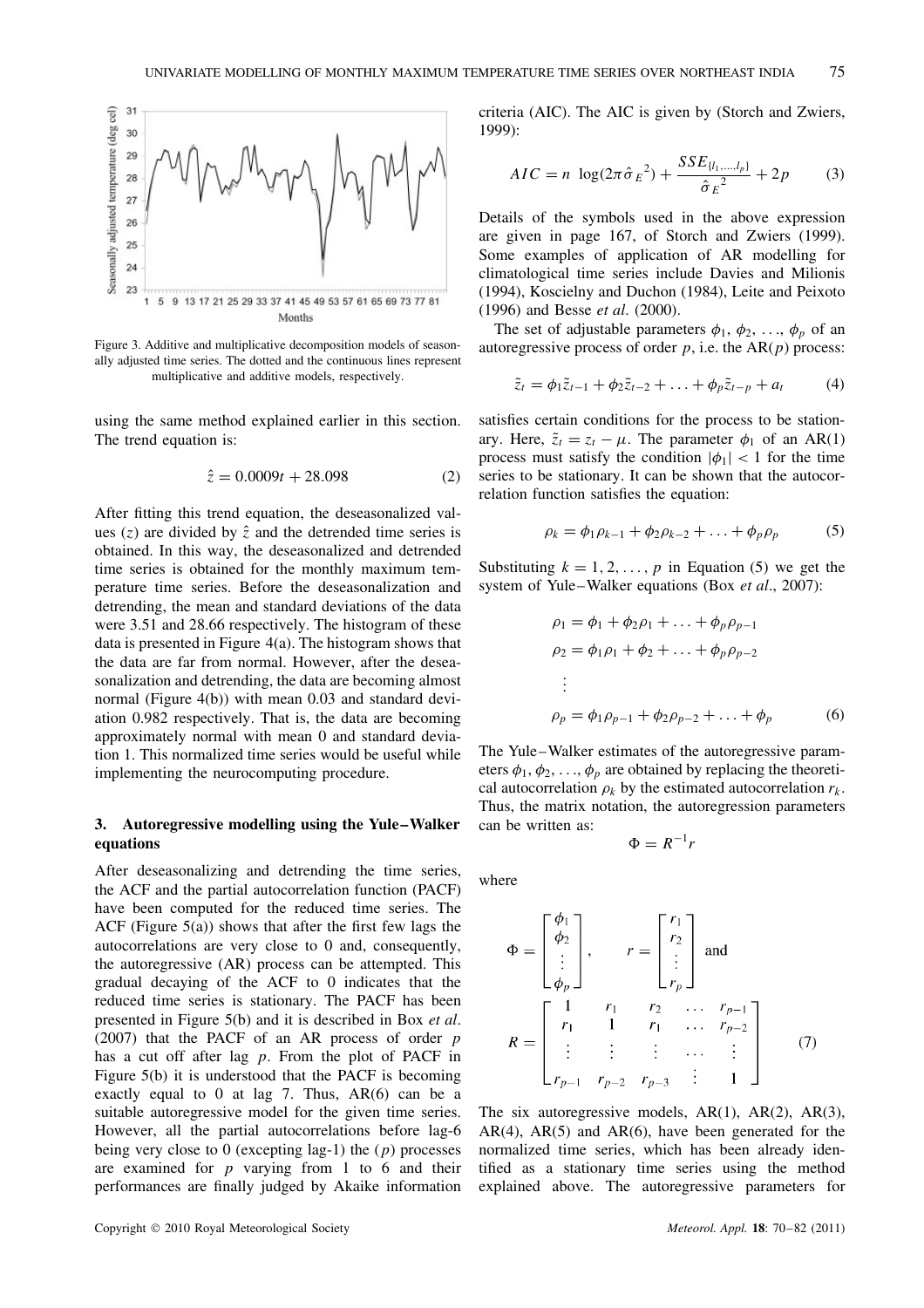

Figure 3. Additive and multiplicative decomposition models of seasonally adjusted time series. The dotted and the continuous lines represent multiplicative and additive models, respectively.

using the same method explained earlier in this section. The trend equation is:

$$
\hat{z} = 0.0009t + 28.098\tag{2}
$$

After fitting this trend equation, the deseasonalized values (z) are divided by  $\hat{z}$  and the detrended time series is obtained. In this way, the deseasonalized and detrended time series is obtained for the monthly maximum temperature time series. Before the deseasonalization and detrending, the mean and standard deviations of the data were 3.51 and 28.66 respectively. The histogram of these data is presented in Figure 4(a). The histogram shows that the data are far from normal. However, after the deseasonalization and detrending, the data are becoming almost normal (Figure 4(b)) with mean 0.03 and standard deviation 0.982 respectively. That is, the data are becoming approximately normal with mean 0 and standard deviation 1. This normalized time series would be useful while implementing the neurocomputing procedure.

# **3. Autoregressive modelling using the Yule–Walker equations**

After deseasonalizing and detrending the time series, the ACF and the partial autocorrelation function (PACF) have been computed for the reduced time series. The ACF (Figure 5(a)) shows that after the first few lags the autocorrelations are very close to 0 and, consequently, the autoregressive (AR) process can be attempted. This gradual decaying of the ACF to 0 indicates that the reduced time series is stationary. The PACF has been presented in Figure 5(b) and it is described in Box *et al*. (2007) that the PACF of an AR process of order  $p$ has a cut off after lag  $p$ . From the plot of PACF in Figure 5(b) it is understood that the PACF is becoming exactly equal to 0 at lag 7. Thus,  $AR(6)$  can be a suitable autoregressive model for the given time series. However, all the partial autocorrelations before lag-6 being very close to 0 (excepting lag-1) the  $(p)$  processes are examined for  $p$  varying from 1 to 6 and their performances are finally judged by Akaike information

criteria (AIC). The AIC is given by (Storch and Zwiers, 1999):

$$
AIC = n \log(2\pi \hat{\sigma}_E^2) + \frac{SSE_{\{l_1, ..., l_p\}}}{\hat{\sigma}_E^2} + 2p \tag{3}
$$

Details of the symbols used in the above expression are given in page 167, of Storch and Zwiers (1999). Some examples of application of AR modelling for climatological time series include Davies and Milionis (1994), Koscielny and Duchon (1984), Leite and Peixoto (1996) and Besse *et al*. (2000).

The set of adjustable parameters  $\phi_1$ ,  $\phi_2$ , ...,  $\phi_p$  of an autoregressive process of order  $p$ , i.e. the AR( $p$ ) process:

$$
\tilde{z}_t = \phi_1 \tilde{z}_{t-1} + \phi_2 \tilde{z}_{t-2} + \ldots + \phi_p \tilde{z}_{t-p} + a_t \tag{4}
$$

satisfies certain conditions for the process to be stationary. Here,  $\tilde{z}_t = z_t - \mu$ . The parameter  $\phi_1$  of an AR(1) process must satisfy the condition  $|\phi_1|$  < 1 for the time series to be stationary. It can be shown that the autocorrelation function satisfies the equation:

$$
\rho_k = \phi_1 \rho_{k-1} + \phi_2 \rho_{k-2} + \ldots + \phi_p \rho_p \tag{5}
$$

Substituting  $k = 1, 2, ..., p$  in Equation (5) we get the system of Yule–Walker equations (Box *et al*., 2007):

$$
\rho_1 = \phi_1 + \phi_2 \rho_1 + \dots + \phi_p \rho_{p-1}
$$
  
\n
$$
\rho_2 = \phi_1 \rho_1 + \phi_2 + \dots + \phi_p \rho_{p-2}
$$
  
\n:  
\n
$$
\rho_p = \phi_1 \rho_{p-1} + \phi_2 \rho_{p-2} + \dots + \phi_p
$$
 (6)

The Yule–Walker estimates of the autoregressive parameters  $\phi_1, \phi_2, \ldots, \phi_p$  are obtained by replacing the theoretical autocorrelation  $\rho_k$  by the estimated autocorrelation  $r_k$ . Thus, the matrix notation, the autoregression parameters can be written as:

$$
\Phi = R^{-1}r
$$

where

$$
\Phi = \begin{bmatrix} \phi_1 \\ \phi_2 \\ \vdots \\ \phi_p \end{bmatrix}, \qquad r = \begin{bmatrix} r_1 \\ r_2 \\ \vdots \\ r_p \end{bmatrix} \text{ and }
$$
  

$$
R = \begin{bmatrix} 1 & r_1 & r_2 & \dots & r_{p-1} \\ r_1 & 1 & r_1 & \dots & r_{p-2} \\ \vdots & \vdots & \vdots & \dots & \vdots \\ r_{p-1} & r_{p-2} & r_{p-3} & \vdots & 1 \end{bmatrix}
$$
 (7)

The six autoregressive models,  $AR(1)$ ,  $AR(2)$ ,  $AR(3)$ ,  $AR(4)$ ,  $AR(5)$  and  $AR(6)$ , have been generated for the normalized time series, which has been already identified as a stationary time series using the method explained above. The autoregressive parameters for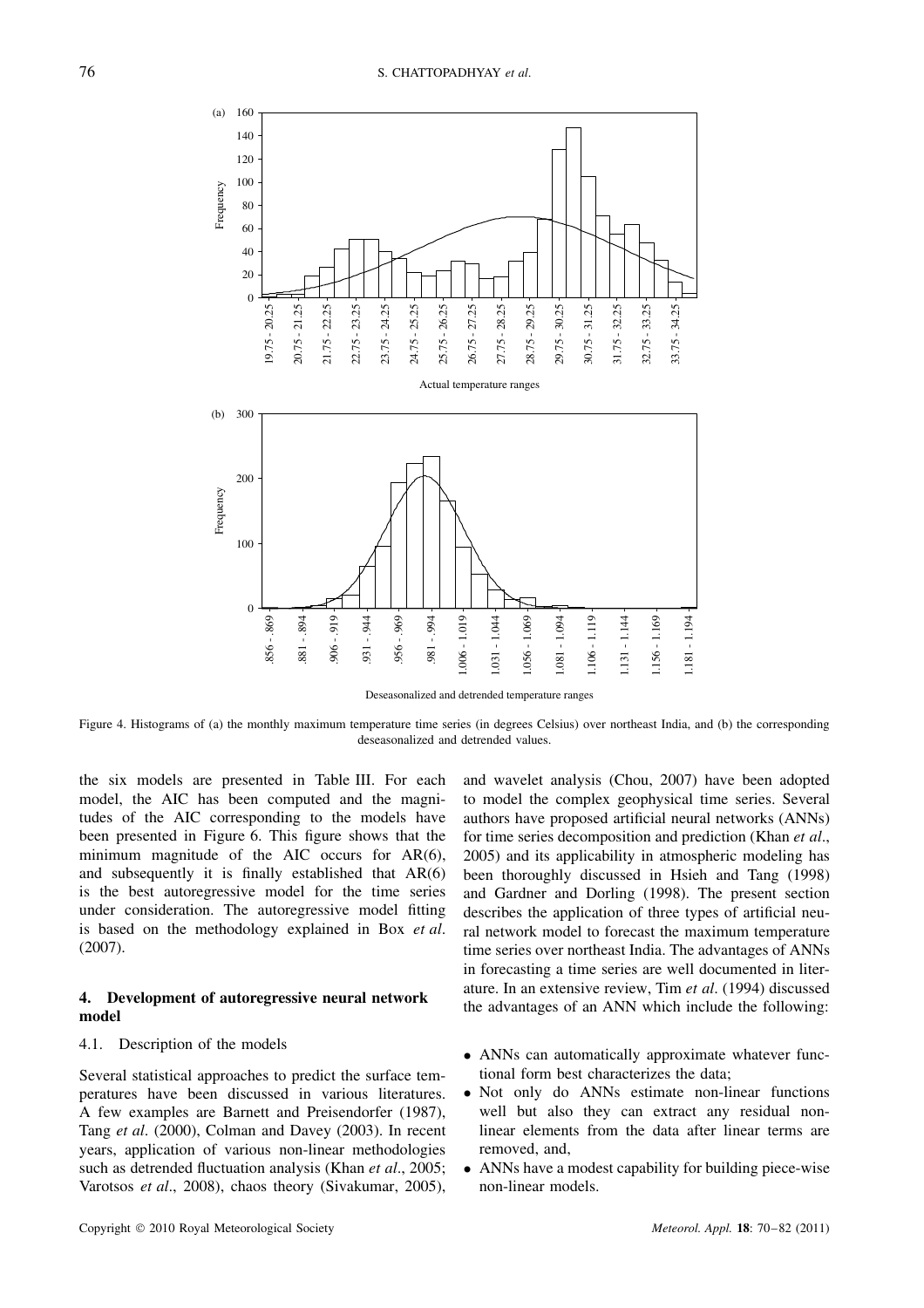

Deseasonalized and detrended temperature ranges

Figure 4. Histograms of (a) the monthly maximum temperature time series (in degrees Celsius) over northeast India, and (b) the corresponding deseasonalized and detrended values.

the six models are presented in Table III. For each model, the AIC has been computed and the magnitudes of the AIC corresponding to the models have been presented in Figure 6. This figure shows that the minimum magnitude of the AIC occurs for AR(6), and subsequently it is finally established that AR(6) is the best autoregressive model for the time series under consideration. The autoregressive model fitting is based on the methodology explained in Box *et al*. (2007).

# **4. Development of autoregressive neural network model**

## 4.1. Description of the models

Several statistical approaches to predict the surface temperatures have been discussed in various literatures. A few examples are Barnett and Preisendorfer (1987), Tang *et al*. (2000), Colman and Davey (2003). In recent years, application of various non-linear methodologies such as detrended fluctuation analysis (Khan *et al*., 2005; Varotsos *et al*., 2008), chaos theory (Sivakumar, 2005), and wavelet analysis (Chou, 2007) have been adopted to model the complex geophysical time series. Several authors have proposed artificial neural networks (ANNs) for time series decomposition and prediction (Khan *et al*., 2005) and its applicability in atmospheric modeling has been thoroughly discussed in Hsieh and Tang (1998) and Gardner and Dorling (1998). The present section describes the application of three types of artificial neural network model to forecast the maximum temperature time series over northeast India. The advantages of ANNs in forecasting a time series are well documented in literature. In an extensive review, Tim *et al*. (1994) discussed the advantages of an ANN which include the following:

- ANNs can automatically approximate whatever functional form best characterizes the data;
- Not only do ANNs estimate non-linear functions well but also they can extract any residual nonlinear elements from the data after linear terms are removed, and,
- ANNs have a modest capability for building piece-wise non-linear models.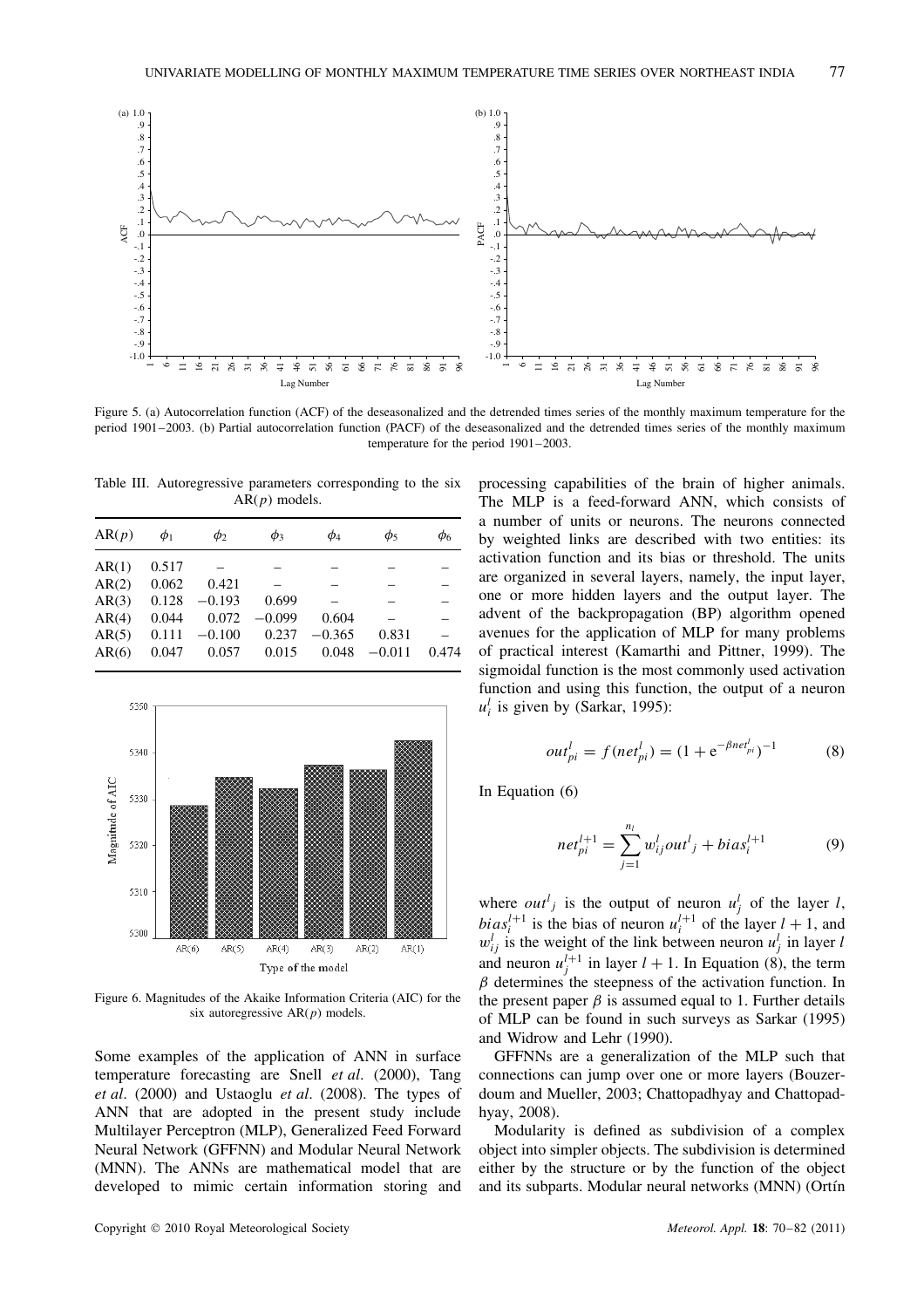

Figure 5. (a) Autocorrelation function (ACF) of the deseasonalized and the detrended times series of the monthly maximum temperature for the period 1901–2003. (b) Partial autocorrelation function (PACF) of the deseasonalized and the detrended times series of the monthly maximum temperature for the period 1901–2003.

Table III. Autoregressive parameters corresponding to the six  $AR(p)$  models.

| AR(p) | $\phi_1$ | $\phi_2$ | $\phi_3$ | $\phi_4$ | $\phi_5$ | $\phi_6$ |
|-------|----------|----------|----------|----------|----------|----------|
| AR(1) | 0.517    |          |          |          |          |          |
| AR(2) | 0.062    | 0.421    |          |          |          |          |
| AR(3) | 0.128    | $-0.193$ | 0.699    |          |          |          |
| AR(4) | 0.044    | 0.072    | $-0.099$ | 0.604    |          |          |
| AR(5) | 0.111    | $-0.100$ | 0.237    | $-0.365$ | 0.831    |          |
| AR(6) | 0.047    | 0.057    | 0.015    | 0.048    | $-0.011$ | 0.474    |
|       |          |          |          |          |          |          |



Figure 6. Magnitudes of the Akaike Information Criteria (AIC) for the six autoregressive  $AR(p)$  models.

Some examples of the application of ANN in surface temperature forecasting are Snell *et al*. (2000), Tang *et al*. (2000) and Ustaoglu *et al*. (2008). The types of ANN that are adopted in the present study include Multilayer Perceptron (MLP), Generalized Feed Forward Neural Network (GFFNN) and Modular Neural Network (MNN). The ANNs are mathematical model that are developed to mimic certain information storing and processing capabilities of the brain of higher animals. The MLP is a feed-forward ANN, which consists of a number of units or neurons. The neurons connected by weighted links are described with two entities: its activation function and its bias or threshold. The units are organized in several layers, namely, the input layer, one or more hidden layers and the output layer. The advent of the backpropagation (BP) algorithm opened avenues for the application of MLP for many problems of practical interest (Kamarthi and Pittner, 1999). The sigmoidal function is the most commonly used activation function and using this function, the output of a neuron  $u_i^l$  is given by (Sarkar, 1995):

$$
out_{pi}^{l} = f(net_{pi}^{l}) = (1 + e^{-\beta net_{pi}^{l}})^{-1}
$$
 (8)

In Equation (6)

$$
net_{pi}^{l+1} = \sum_{j=1}^{n_l} w_{ij}^l out_j^l + bias_i^{l+1}
$$
 (9)

where  $out_j^l$  is the output of neuron  $u_j^l$  of the layer l,  $bias_i^{l+1}$  is the bias of neuron  $u_i^{l+1}$  of the layer  $l + 1$ , and  $w_{ij}^l$  is the weight of the link between neuron  $u_j^l$  in layer l and neuron  $u_j^{l+1}$  in layer  $l + 1$ . In Equation (8), the term  $\beta$  determines the steepness of the activation function. In the present paper  $\beta$  is assumed equal to 1. Further details of MLP can be found in such surveys as Sarkar (1995) and Widrow and Lehr (1990).

GFFNNs are a generalization of the MLP such that connections can jump over one or more layers (Bouzerdoum and Mueller, 2003; Chattopadhyay and Chattopadhyay, 2008).

Modularity is defined as subdivision of a complex object into simpler objects. The subdivision is determined either by the structure or by the function of the object and its subparts. Modular neural networks (MNN) (Ortín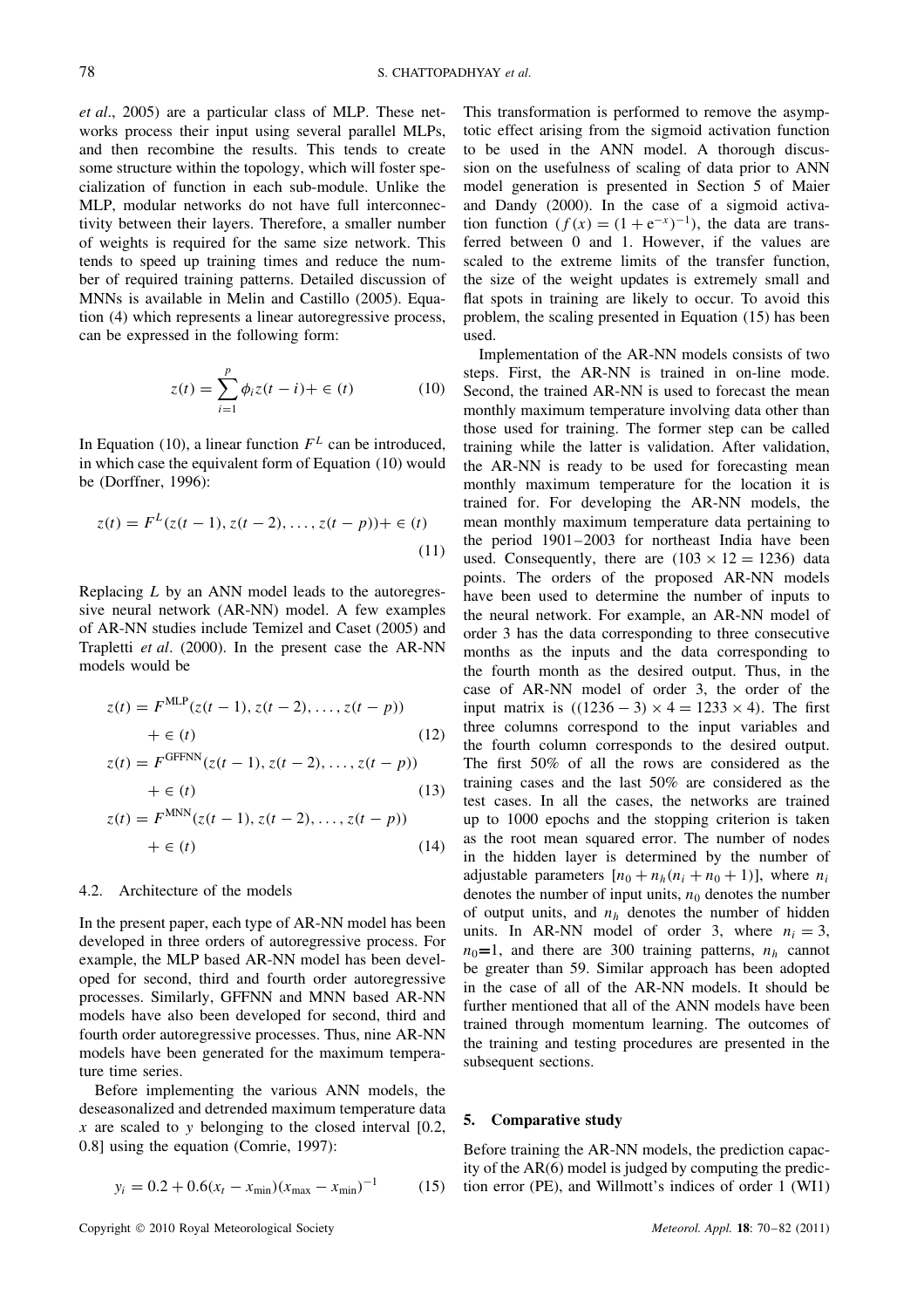*et al*., 2005) are a particular class of MLP. These networks process their input using several parallel MLPs, and then recombine the results. This tends to create some structure within the topology, which will foster specialization of function in each sub-module. Unlike the MLP, modular networks do not have full interconnectivity between their layers. Therefore, a smaller number of weights is required for the same size network. This tends to speed up training times and reduce the number of required training patterns. Detailed discussion of MNNs is available in Melin and Castillo (2005). Equation (4) which represents a linear autoregressive process, can be expressed in the following form:

$$
z(t) = \sum_{i=1}^{p} \phi_i z(t - i) + \in (t)
$$
 (10)

In Equation (10), a linear function  $F<sup>L</sup>$  can be introduced, in which case the equivalent form of Equation (10) would be (Dorffner, 1996):

$$
z(t) = FL(z(t-1), z(t-2), ..., z(t-p)) + \in (t)
$$
\n(11)

Replacing L by an ANN model leads to the autoregressive neural network (AR-NN) model. A few examples of AR-NN studies include Temizel and Caset (2005) and Trapletti *et al*. (2000). In the present case the AR-NN models would be

$$
z(t) = FMLP(z(t - 1), z(t - 2), ..., z(t - p))
$$
  
+  $\in$  (12)

$$
z(t) = F^{\text{GFFNN}}(z(t-1), z(t-2), \dots, z(t-p)) + \in (t)
$$
\n(13)

$$
z(t) = F^{\text{MNN}}(z(t-1), z(t-2), \dots, z(t-p)) + \epsilon(t)
$$
\n(14)

## 4.2. Architecture of the models

In the present paper, each type of AR-NN model has been developed in three orders of autoregressive process. For example, the MLP based AR-NN model has been developed for second, third and fourth order autoregressive processes. Similarly, GFFNN and MNN based AR-NN models have also been developed for second, third and fourth order autoregressive processes. Thus, nine AR-NN models have been generated for the maximum temperature time series.

Before implementing the various ANN models, the deseasonalized and detrended maximum temperature data x are scaled to y belonging to the closed interval  $[0.2, 1]$ 0.8] using the equation (Comrie, 1997):

$$
y_i = 0.2 + 0.6(x_t - x_{\min})(x_{\max} - x_{\min})^{-1}
$$
 (15)

This transformation is performed to remove the asymptotic effect arising from the sigmoid activation function to be used in the ANN model. A thorough discussion on the usefulness of scaling of data prior to ANN model generation is presented in Section 5 of Maier and Dandy (2000). In the case of a sigmoid activation function  $(f(x) = (1 + e^{-x})^{-1})$ , the data are transferred between 0 and 1. However, if the values are scaled to the extreme limits of the transfer function, the size of the weight updates is extremely small and flat spots in training are likely to occur. To avoid this problem, the scaling presented in Equation (15) has been used.

Implementation of the AR-NN models consists of two steps. First, the AR-NN is trained in on-line mode. Second, the trained AR-NN is used to forecast the mean monthly maximum temperature involving data other than those used for training. The former step can be called training while the latter is validation. After validation, the AR-NN is ready to be used for forecasting mean monthly maximum temperature for the location it is trained for. For developing the AR-NN models, the mean monthly maximum temperature data pertaining to the period 1901–2003 for northeast India have been used. Consequently, there are  $(103 \times 12 = 1236)$  data points. The orders of the proposed AR-NN models have been used to determine the number of inputs to the neural network. For example, an AR-NN model of order 3 has the data corresponding to three consecutive months as the inputs and the data corresponding to the fourth month as the desired output. Thus, in the case of AR-NN model of order 3, the order of the input matrix is  $((1236 - 3) \times 4 = 1233 \times 4)$ . The first three columns correspond to the input variables and the fourth column corresponds to the desired output. The first 50% of all the rows are considered as the training cases and the last 50% are considered as the test cases. In all the cases, the networks are trained up to 1000 epochs and the stopping criterion is taken as the root mean squared error. The number of nodes in the hidden layer is determined by the number of adjustable parameters  $[n_0 + n_h(n_i + n_0 + 1)]$ , where  $n_i$ denotes the number of input units,  $n_0$  denotes the number of output units, and  $n_h$  denotes the number of hidden units. In AR-NN model of order 3, where  $n_i = 3$ ,  $n_0=1$ , and there are 300 training patterns,  $n_h$  cannot be greater than 59. Similar approach has been adopted in the case of all of the AR-NN models. It should be further mentioned that all of the ANN models have been trained through momentum learning. The outcomes of the training and testing procedures are presented in the subsequent sections.

## **5. Comparative study**

Before training the AR-NN models, the prediction capacity of the AR(6) model is judged by computing the prediction error (PE), and Willmott's indices of order 1 (WI1)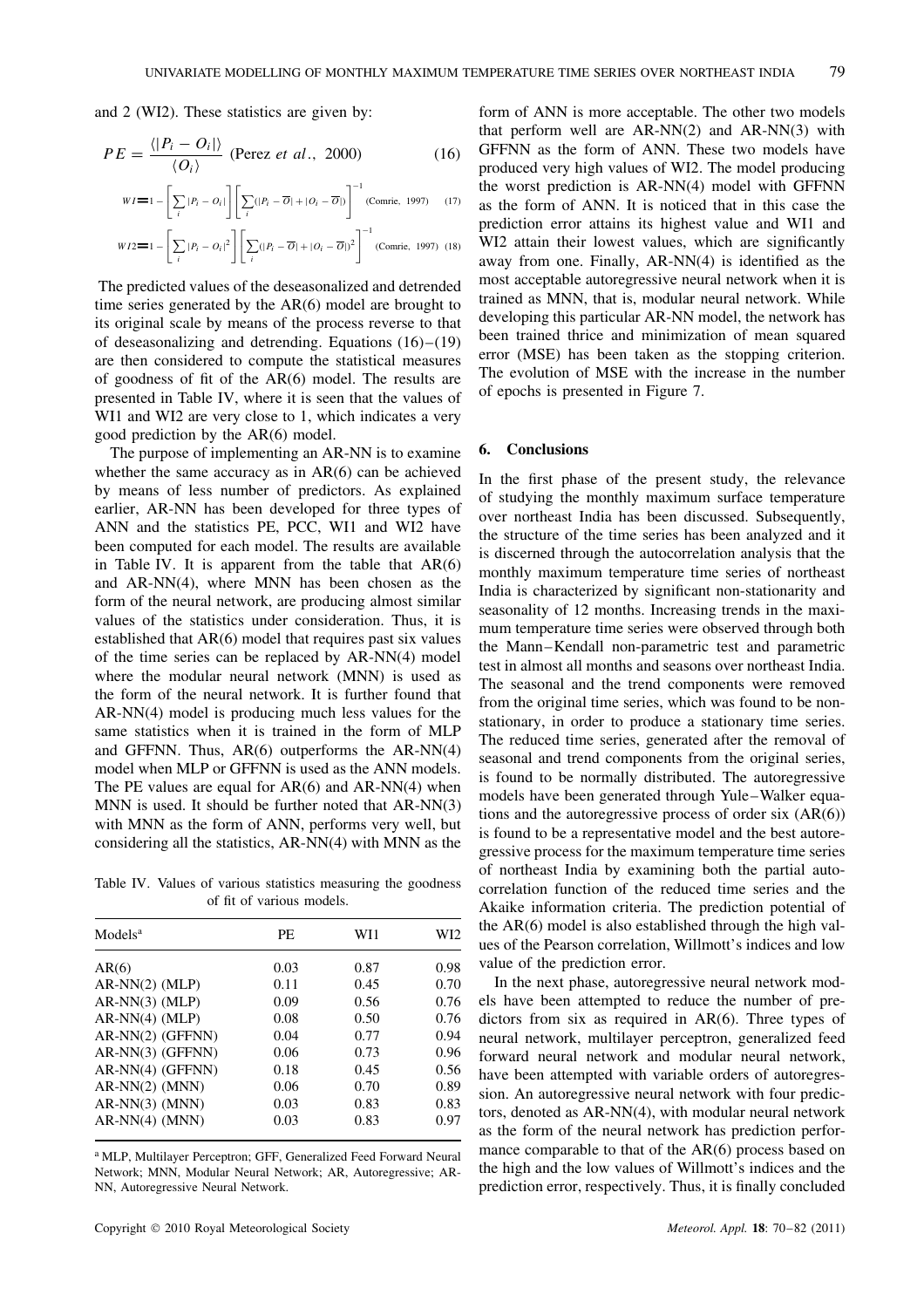and 2 (WI2). These statistics are given by:

$$
PE = \frac{\langle |P_i - O_i| \rangle}{\langle O_i \rangle} \text{ (Perez } et \text{ al., } 2000) \tag{16}
$$

$$
WI = 1 - \left[ \sum_{i} |P_i - O_i| \right] \left[ \sum_{i} (|P_i - \overline{O}| + |O_i - \overline{O}|) \right]^{-1} \text{(Comrie, 1997)} \tag{17}
$$

$$
WI2 = 1 - \left[ \sum_{i} |P_i - O_i|^2 \right] \left[ \sum_{i} (|P_i - \overline{O}| + |O_i - \overline{O}|)^2 \right]
$$
 (Comrie, 1997) (18)

The predicted values of the deseasonalized and detrended time series generated by the AR(6) model are brought to its original scale by means of the process reverse to that of deseasonalizing and detrending. Equations (16)–(19) are then considered to compute the statistical measures of goodness of fit of the AR(6) model. The results are presented in Table IV, where it is seen that the values of WI1 and WI2 are very close to 1, which indicates a very good prediction by the AR(6) model.

The purpose of implementing an AR-NN is to examine whether the same accuracy as in AR(6) can be achieved by means of less number of predictors. As explained earlier, AR-NN has been developed for three types of ANN and the statistics PE, PCC, WI1 and WI2 have been computed for each model. The results are available in Table IV. It is apparent from the table that  $AR(6)$ and AR-NN(4), where MNN has been chosen as the form of the neural network, are producing almost similar values of the statistics under consideration. Thus, it is established that AR(6) model that requires past six values of the time series can be replaced by AR-NN(4) model where the modular neural network (MNN) is used as the form of the neural network. It is further found that AR-NN(4) model is producing much less values for the same statistics when it is trained in the form of MLP and GFFNN. Thus, AR(6) outperforms the AR-NN(4) model when MLP or GFFNN is used as the ANN models. The PE values are equal for  $AR(6)$  and  $AR\text{-}NN(4)$  when MNN is used. It should be further noted that AR-NN(3) with MNN as the form of ANN, performs very well, but considering all the statistics, AR-NN(4) with MNN as the

Table IV. Values of various statistics measuring the goodness of fit of various models.

| Models <sup>a</sup> | PE   | WI1  | WI2  |
|---------------------|------|------|------|
| AR(6)               | 0.03 | 0.87 | 0.98 |
| $AR-NN(2)$ (MLP)    | 0.11 | 0.45 | 0.70 |
| $AR-NN(3)$ (MLP)    | 0.09 | 0.56 | 0.76 |
| $AR-NN(4)$ (MLP)    | 0.08 | 0.50 | 0.76 |
| AR-NN(2) (GFFNN)    | 0.04 | 0.77 | 0.94 |
| $AR-NN(3)$ (GFFNN)  | 0.06 | 0.73 | 0.96 |
| $AR-NN(4)$ (GFFNN)  | 0.18 | 0.45 | 0.56 |
| $AR-NN(2)$ (MNN)    | 0.06 | 0.70 | 0.89 |
| $AR-NN(3)$ (MNN)    | 0.03 | 0.83 | 0.83 |
| $AR-NN(4)$ (MNN)    | 0.03 | 0.83 | 0.97 |

<sup>a</sup> MLP, Multilayer Perceptron; GFF, Generalized Feed Forward Neural Network; MNN, Modular Neural Network; AR, Autoregressive; AR-NN, Autoregressive Neural Network.

form of ANN is more acceptable. The other two models that perform well are  $AR-NN(2)$  and  $AR-NN(3)$  with GFFNN as the form of ANN. These two models have produced very high values of WI2. The model producing the worst prediction is AR-NN(4) model with GFFNN as the form of ANN. It is noticed that in this case the prediction error attains its highest value and WI1 and WI2 attain their lowest values, which are significantly away from one. Finally, AR-NN(4) is identified as the most acceptable autoregressive neural network when it is trained as MNN, that is, modular neural network. While developing this particular AR-NN model, the network has been trained thrice and minimization of mean squared error (MSE) has been taken as the stopping criterion. The evolution of MSE with the increase in the number of epochs is presented in Figure 7.

# **6. Conclusions**

In the first phase of the present study, the relevance of studying the monthly maximum surface temperature over northeast India has been discussed. Subsequently, the structure of the time series has been analyzed and it is discerned through the autocorrelation analysis that the monthly maximum temperature time series of northeast India is characterized by significant non-stationarity and seasonality of 12 months. Increasing trends in the maximum temperature time series were observed through both the Mann–Kendall non-parametric test and parametric test in almost all months and seasons over northeast India. The seasonal and the trend components were removed from the original time series, which was found to be nonstationary, in order to produce a stationary time series. The reduced time series, generated after the removal of seasonal and trend components from the original series, is found to be normally distributed. The autoregressive models have been generated through Yule–Walker equations and the autoregressive process of order six  $(AR(6))$ is found to be a representative model and the best autoregressive process for the maximum temperature time series of northeast India by examining both the partial autocorrelation function of the reduced time series and the Akaike information criteria. The prediction potential of the AR(6) model is also established through the high values of the Pearson correlation, Willmott's indices and low value of the prediction error.

In the next phase, autoregressive neural network models have been attempted to reduce the number of predictors from six as required in AR(6). Three types of neural network, multilayer perceptron, generalized feed forward neural network and modular neural network, have been attempted with variable orders of autoregression. An autoregressive neural network with four predictors, denoted as AR-NN(4), with modular neural network as the form of the neural network has prediction performance comparable to that of the AR(6) process based on the high and the low values of Willmott's indices and the prediction error, respectively. Thus, it is finally concluded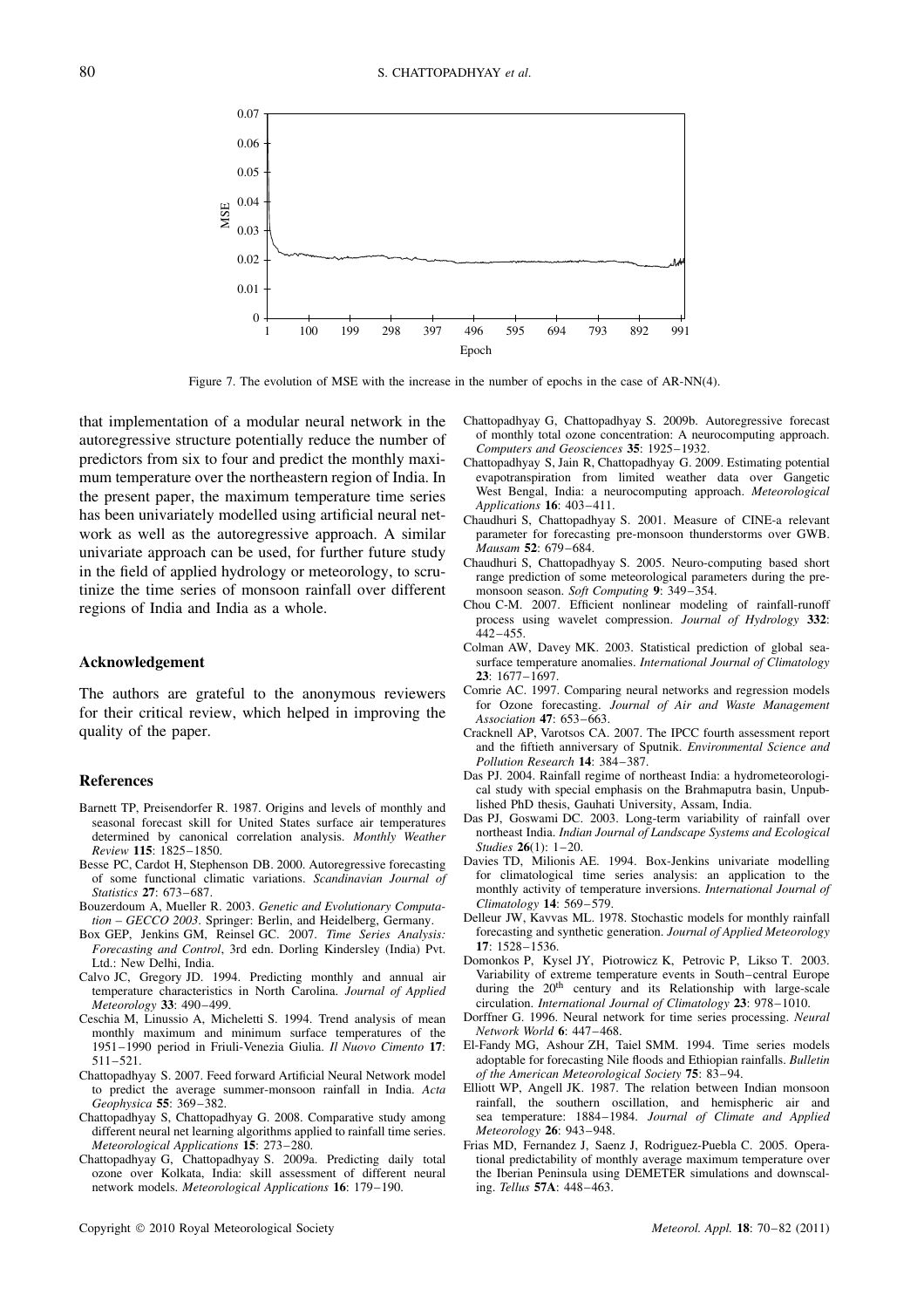

Figure 7. The evolution of MSE with the increase in the number of epochs in the case of AR-NN(4).

that implementation of a modular neural network in the autoregressive structure potentially reduce the number of predictors from six to four and predict the monthly maximum temperature over the northeastern region of India. In the present paper, the maximum temperature time series has been univariately modelled using artificial neural network as well as the autoregressive approach. A similar univariate approach can be used, for further future study in the field of applied hydrology or meteorology, to scrutinize the time series of monsoon rainfall over different regions of India and India as a whole.

### **Acknowledgement**

The authors are grateful to the anonymous reviewers for their critical review, which helped in improving the quality of the paper.

### **References**

- Barnett TP, Preisendorfer R. 1987. Origins and levels of monthly and seasonal forecast skill for United States surface air temperatures determined by canonical correlation analysis. *Monthly Weather Review* **115**: 1825–1850.
- Besse PC, Cardot H, Stephenson DB. 2000. Autoregressive forecasting of some functional climatic variations. *Scandinavian Journal of Statistics* **27**: 673–687.
- Bouzerdoum A, Mueller R. 2003. *Genetic and Evolutionary Computation – GECCO 2003*. Springer: Berlin, and Heidelberg, Germany.
- Box GEP, Jenkins GM, Reinsel GC. 2007. *Time Series Analysis: Forecasting and Control*, 3rd edn. Dorling Kindersley (India) Pvt. Ltd.: New Delhi, India.
- Calvo JC, Gregory JD. 1994. Predicting monthly and annual air temperature characteristics in North Carolina. *Journal of Applied Meteorology* **33**: 490–499.
- Ceschia M, Linussio A, Micheletti S. 1994. Trend analysis of mean monthly maximum and minimum surface temperatures of the 1951–1990 period in Friuli-Venezia Giulia. *Il Nuovo Cimento* **17**: 511–521.
- Chattopadhyay S. 2007. Feed forward Artificial Neural Network model to predict the average summer-monsoon rainfall in India. *Acta Geophysica* **55**: 369–382.
- Chattopadhyay S, Chattopadhyay G. 2008. Comparative study among different neural net learning algorithms applied to rainfall time series. *Meteorological Applications* **15**: 273–280.
- Chattopadhyay G, Chattopadhyay S. 2009a. Predicting daily total ozone over Kolkata, India: skill assessment of different neural network models. *Meteorological Applications* **16**: 179–190.
- Chattopadhyay G, Chattopadhyay S. 2009b. Autoregressive forecast of monthly total ozone concentration: A neurocomputing approach. *Computers and Geosciences* **35**: 1925–1932.
- Chattopadhyay S, Jain R, Chattopadhyay G. 2009. Estimating potential evapotranspiration from limited weather data over Gangetic West Bengal, India: a neurocomputing approach. *Meteorological Applications* **16**: 403–411.
- Chaudhuri S, Chattopadhyay S. 2001. Measure of CINE-a relevant parameter for forecasting pre-monsoon thunderstorms over GWB. *Mausam* **52**: 679–684.
- Chaudhuri S, Chattopadhyay S. 2005. Neuro-computing based short range prediction of some meteorological parameters during the premonsoon season. *Soft Computing* **9**: 349–354.
- Chou C-M. 2007. Efficient nonlinear modeling of rainfall-runoff process using wavelet compression. *Journal of Hydrology* **332**:  $442 - 455$ .
- Colman AW, Davey MK. 2003. Statistical prediction of global seasurface temperature anomalies. *International Journal of Climatology* **23**: 1677–1697.
- Comrie AC. 1997. Comparing neural networks and regression models for Ozone forecasting. *Journal of Air and Waste Management Association* **47**: 653–663.
- Cracknell AP, Varotsos CA. 2007. The IPCC fourth assessment report and the fiftieth anniversary of Sputnik. *Environmental Science and Pollution Research* **14**: 384–387.
- Das PJ. 2004. Rainfall regime of northeast India: a hydrometeorological study with special emphasis on the Brahmaputra basin, Unpublished PhD thesis, Gauhati University, Assam, India.
- Das PJ, Goswami DC. 2003. Long-term variability of rainfall over northeast India. *Indian Journal of Landscape Systems and Ecological Studies* **26**(1): 1–20.
- Davies TD, Milionis AE. 1994. Box-Jenkins univariate modelling for climatological time series analysis: an application to the monthly activity of temperature inversions. *International Journal of Climatology* **14**: 569–579.
- Delleur JW, Kavvas ML. 1978. Stochastic models for monthly rainfall forecasting and synthetic generation. *Journal of Applied Meteorology* **17**: 1528–1536.
- Domonkos P, Kysel JY, Piotrowicz K, Petrovic P, Likso T. 2003. Variability of extreme temperature events in South–central Europe during the 20<sup>th</sup> century and its Relationship with large-scale circulation. *International Journal of Climatology* **23**: 978–1010.
- Dorffner G. 1996. Neural network for time series processing. *Neural Network World* **6**: 447–468.
- El-Fandy MG, Ashour ZH, Taiel SMM. 1994. Time series models adoptable for forecasting Nile floods and Ethiopian rainfalls. *Bulletin of the American Meteorological Society* **75**: 83–94.
- Elliott WP, Angell JK. 1987. The relation between Indian monsoon rainfall, the southern oscillation, and hemispheric air and sea temperature: 1884–1984. *Journal of Climate and Applied Meteorology* **26**: 943–948.
- Frias MD, Fernandez J, Saenz J, Rodriguez-Puebla C. 2005. Operational predictability of monthly average maximum temperature over the Iberian Peninsula using DEMETER simulations and downscaling. *Tellus* **57A**: 448–463.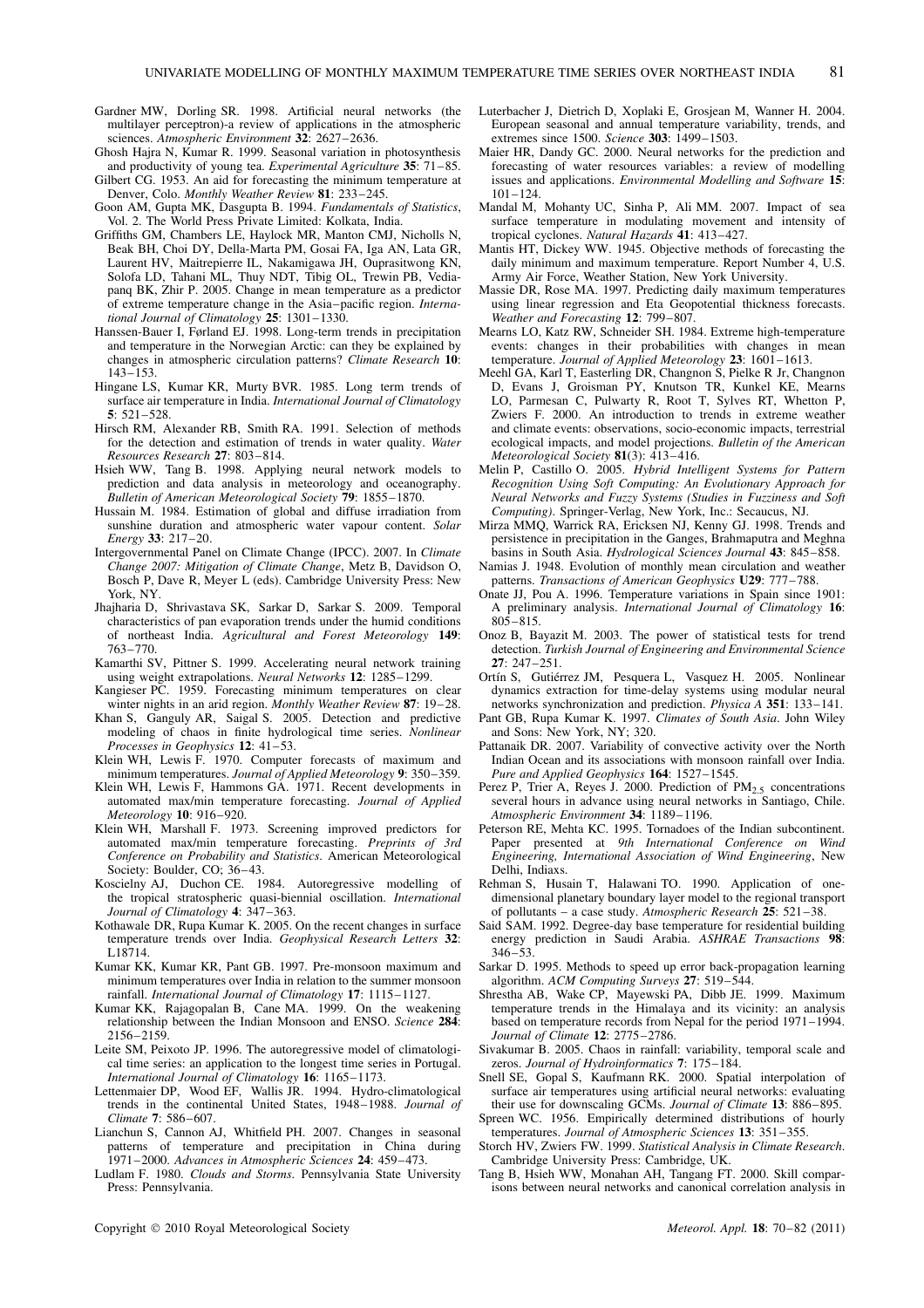- Gardner MW, Dorling SR. 1998. Artificial neural networks (the multilayer perceptron)-a review of applications in the atmospheric sciences. *Atmospheric Environment* **32**: 2627–2636.
- Ghosh Hajra N, Kumar R. 1999. Seasonal variation in photosynthesis and productivity of young tea. *Experimental Agriculture* **35**: 71–85.
- Gilbert CG. 1953. An aid for forecasting the minimum temperature at Denver, Colo. *Monthly Weather Review* **81**: 233–245.
- Goon AM, Gupta MK, Dasgupta B. 1994. *Fundamentals of Statistics*, Vol. 2. The World Press Private Limited: Kolkata, India.
- Griffiths GM, Chambers LE, Haylock MR, Manton CMJ, Nicholls N, Beak BH, Choi DY, Della-Marta PM, Gosai FA, Iga AN, Lata GR, Laurent HV, Maitrepierre IL, Nakamigawa JH, Ouprasitwong KN, Solofa LD, Tahani ML, Thuy NDT, Tibig OL, Trewin PB, Vediapanq BK, Zhir P. 2005. Change in mean temperature as a predictor of extreme temperature change in the Asia–pacific region. *International Journal of Climatology* **25**: 1301–1330.
- Hanssen-Bauer I, Førland EJ. 1998. Long-term trends in precipitation and temperature in the Norwegian Arctic: can they be explained by changes in atmospheric circulation patterns? *Climate Research* **10**: 143–153.
- Hingane LS, Kumar KR, Murty BVR. 1985. Long term trends of surface air temperature in India. *International Journal of Climatology* **5**: 521–528.
- Hirsch RM, Alexander RB, Smith RA. 1991. Selection of methods for the detection and estimation of trends in water quality. *Water Resources Research* **27**: 803–814.
- Hsieh WW, Tang B. 1998. Applying neural network models to prediction and data analysis in meteorology and oceanography. *Bulletin of American Meteorological Society* **79**: 1855–1870.
- Hussain M. 1984. Estimation of global and diffuse irradiation from sunshine duration and atmospheric water vapour content. *Solar Energy* **33**: 217–20.
- Intergovernmental Panel on Climate Change (IPCC). 2007. In *Climate Change 2007: Mitigation of Climate Change*, Metz B, Davidson O, Bosch P, Dave R, Meyer L (eds). Cambridge University Press: New York, NY.
- Jhajharia D, Shrivastava SK, Sarkar D, Sarkar S. 2009. Temporal characteristics of pan evaporation trends under the humid conditions of northeast India. *Agricultural and Forest Meteorology* **149**: 763–770.
- Kamarthi SV, Pittner S. 1999. Accelerating neural network training using weight extrapolations. *Neural Networks* **12**: 1285–1299.
- Kangieser PC. 1959. Forecasting minimum temperatures on clear winter nights in an arid region. *Monthly Weather Review* **87**: 19–28.
- Khan S, Ganguly AR, Saigal S. 2005. Detection and predictive modeling of chaos in finite hydrological time series. *Nonlinear Processes in Geophysics* **12**: 41–53.
- Klein WH, Lewis F. 1970. Computer forecasts of maximum and minimum temperatures. *Journal of Applied Meteorology* **9**: 350–359.
- Klein WH, Lewis F, Hammons GA. 1971. Recent developments in automated max/min temperature forecasting. *Journal of Applied Meteorology* **10**: 916–920.
- Klein WH, Marshall F. 1973. Screening improved predictors for automated max/min temperature forecasting. *Preprints of 3rd Conference on Probability and Statistics*. American Meteorological Society: Boulder, CO; 36–43.
- Koscielny AJ, Duchon CE. 1984. Autoregressive modelling of the tropical stratospheric quasi-biennial oscillation. *International Journal of Climatology* **4**: 347–363.
- Kothawale DR, Rupa Kumar K. 2005. On the recent changes in surface temperature trends over India. *Geophysical Research Letters* **32**: L18714.
- Kumar KK, Kumar KR, Pant GB. 1997. Pre-monsoon maximum and minimum temperatures over India in relation to the summer monsoon rainfall. *International Journal of Climatology* **17**: 1115–1127.
- Kumar KK, Rajagopalan B, Cane MA. 1999. On the weakening relationship between the Indian Monsoon and ENSO. *Science* **284**: 2156–2159.
- Leite SM, Peixoto JP. 1996. The autoregressive model of climatological time series: an application to the longest time series in Portugal. *International Journal of Climatology* **16**: 1165–1173.
- Lettenmaier DP, Wood EF, Wallis JR. 1994. Hydro-climatological trends in the continental United States, 1948–1988. *Journal of Climate* **7**: 586–607.
- Lianchun S, Cannon AJ, Whitfield PH. 2007. Changes in seasonal patterns of temperature and precipitation in China during 1971–2000. *Advances in Atmospheric Sciences* **24**: 459–473.
- Ludlam F. 1980. *Clouds and Storms*. Pennsylvania State University Press: Pennsylvania.
- Luterbacher J, Dietrich D, Xoplaki E, Grosjean M, Wanner H. 2004. European seasonal and annual temperature variability, trends, and extremes since 1500. *Science* **303**: 1499–1503.
- Maier HR, Dandy GC. 2000. Neural networks for the prediction and forecasting of water resources variables: a review of modelling issues and applications. *Environmental Modelling and Software* **15**: 101–124.
- Mandal M, Mohanty UC, Sinha P, Ali MM. 2007. Impact of sea surface temperature in modulating movement and intensity of tropical cyclones. *Natural Hazards* **41**: 413–427.
- Mantis HT, Dickey WW. 1945. Objective methods of forecasting the daily minimum and maximum temperature. Report Number 4, U.S. Army Air Force, Weather Station, New York University.
- Massie DR, Rose MA. 1997. Predicting daily maximum temperatures using linear regression and Eta Geopotential thickness forecasts. *Weather and Forecasting* **12**: 799–807.
- Mearns LO, Katz RW, Schneider SH. 1984. Extreme high-temperature events: changes in their probabilities with changes in mean temperature. *Journal of Applied Meteorology* **23**: 1601–1613.
- Meehl GA, Karl T, Easterling DR, Changnon S, Pielke R Jr, Changnon D, Evans J, Groisman PY, Knutson TR, Kunkel KE, Mearns LO, Parmesan C, Pulwarty R, Root T, Sylves RT, Whetton P, Zwiers F. 2000. An introduction to trends in extreme weather and climate events: observations, socio-economic impacts, terrestrial ecological impacts, and model projections. *Bulletin of the American Meteorological Society* **81**(3): 413–416.
- Melin P, Castillo O. 2005. *Hybrid Intelligent Systems for Pattern Recognition Using Soft Computing: An Evolutionary Approach for Neural Networks and Fuzzy Systems (Studies in Fuzziness and Soft Computing)*. Springer-Verlag, New York, Inc.: Secaucus, NJ.
- Mirza MMQ, Warrick RA, Ericksen NJ, Kenny GJ. 1998. Trends and persistence in precipitation in the Ganges, Brahmaputra and Meghna basins in South Asia. *Hydrological Sciences Journal* **43**: 845–858.
- Namias J. 1948. Evolution of monthly mean circulation and weather patterns. *Transactions of American Geophysics* **U29**: 777–788.
- Onate JJ, Pou A. 1996. Temperature variations in Spain since 1901: A preliminary analysis. *International Journal of Climatology* **16**: 805–815.
- Onoz B, Bayazit M. 2003. The power of statistical tests for trend detection. *Turkish Journal of Engineering and Environmental Science* **27**: 247–251.
- Ortín S, Gutiérrez JM, Pesquera L, Vasquez H. 2005. Nonlinear dynamics extraction for time-delay systems using modular neural networks synchronization and prediction. *Physica A* **351**: 133–141.
- Pant GB, Rupa Kumar K. 1997. *Climates of South Asia*. John Wiley and Sons: New York, NY; 320.
- Pattanaik DR. 2007. Variability of convective activity over the North Indian Ocean and its associations with monsoon rainfall over India. *Pure and Applied Geophysics* **164**: 1527–1545.
- Perez P, Trier A, Reyes J. 2000. Prediction of  $PM_{2.5}$  concentrations several hours in advance using neural networks in Santiago, Chile. *Atmospheric Environment* **34**: 1189–1196.
- Peterson RE, Mehta KC. 1995. Tornadoes of the Indian subcontinent. Paper presented at *9th International Conference on Wind Engineering, International Association of Wind Engineering*, New Delhi, Indiaxs.
- Rehman S, Husain T, Halawani TO. 1990. Application of onedimensional planetary boundary layer model to the regional transport of pollutants – a case study. *Atmospheric Research* **25**: 521–38.
- Said SAM. 1992. Degree-day base temperature for residential building energy prediction in Saudi Arabia. *ASHRAE Transactions* **98**: 346–53.
- Sarkar D. 1995. Methods to speed up error back-propagation learning algorithm. *ACM Computing Surveys* **27**: 519–544.
- Shrestha AB, Wake CP, Mayewski PA, Dibb JE. 1999. Maximum temperature trends in the Himalaya and its vicinity: an analysis based on temperature records from Nepal for the period 1971–1994. *Journal of Climate* **12**: 2775–2786.
- Sivakumar B. 2005. Chaos in rainfall: variability, temporal scale and zeros. *Journal of Hydroinformatics* **7**: 175–184.
- Snell SE, Gopal S, Kaufmann RK. 2000. Spatial interpolation of surface air temperatures using artificial neural networks: evaluating their use for downscaling GCMs. *Journal of Climate* **13**: 886–895.
- Spreen WC. 1956. Empirically determined distributions of hourly temperatures. *Journal of Atmospheric Sciences* **13**: 351–355.
- Storch HV, Zwiers FW. 1999. *Statistical Analysis in Climate Research*. Cambridge University Press: Cambridge, UK.
- Tang B, Hsieh WW, Monahan AH, Tangang FT. 2000. Skill comparisons between neural networks and canonical correlation analysis in